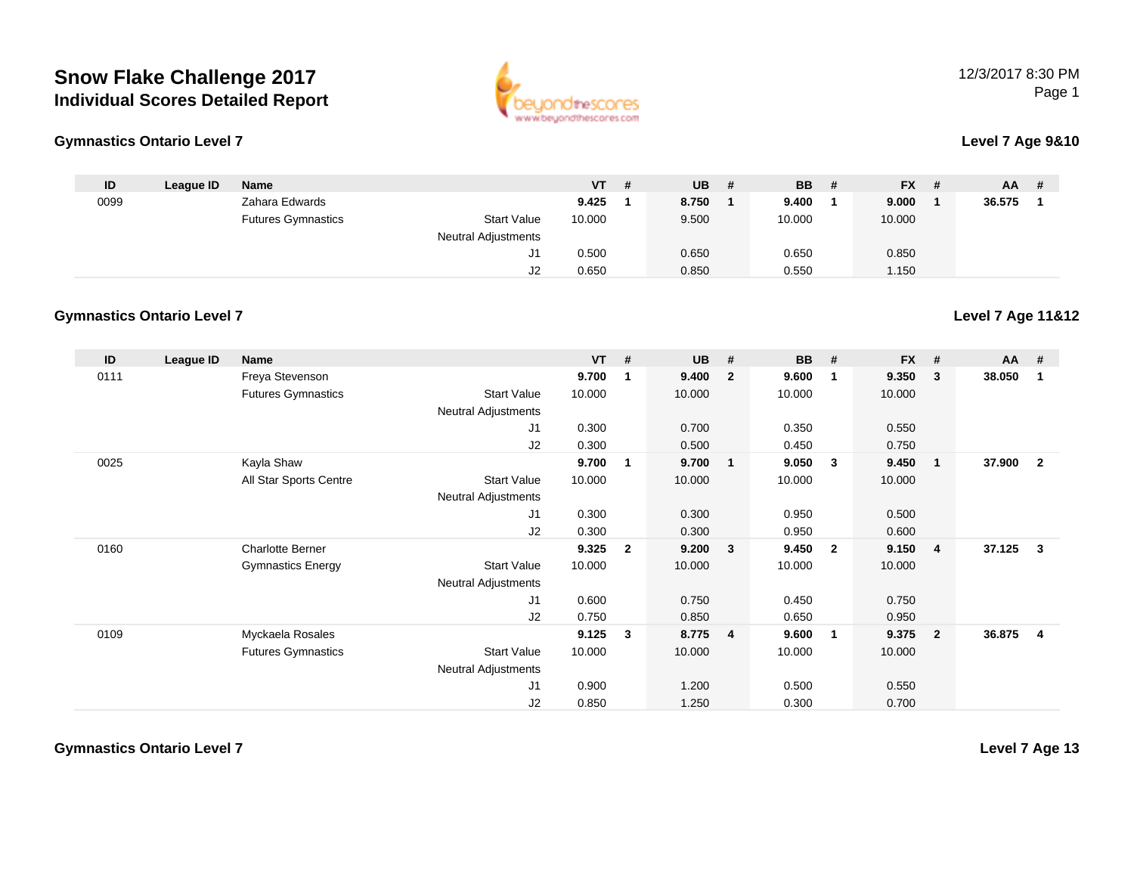

#### **Gymnastics Ontario Level 7**

#### **Level 7 Age 9&10**

**Level 7 Age 11&12**

| ID   | League ID | <b>Name</b>               |                            | <b>VT</b> | - # | <b>UB</b> | -# | <b>BB</b> | # | <b>FX</b> | # | AA     | # |
|------|-----------|---------------------------|----------------------------|-----------|-----|-----------|----|-----------|---|-----------|---|--------|---|
| 0099 |           | Zahara Edwards            |                            | 9.425     |     | 8.750     |    | 9.400     |   | 9.000     |   | 36.575 |   |
|      |           | <b>Futures Gymnastics</b> | <b>Start Value</b>         | 10.000    |     | 9.500     |    | 10.000    |   | 10.000    |   |        |   |
|      |           |                           | <b>Neutral Adjustments</b> |           |     |           |    |           |   |           |   |        |   |
|      |           |                           | ັ                          | 0.500     |     | 0.650     |    | 0.650     |   | 0.850     |   |        |   |
|      |           |                           | ےں                         | 0.650     |     | 0.850     |    | 0.550     |   | 1.150     |   |        |   |

#### **Gymnastics Ontario Level 7**

| ID   | League ID | Name                      |                            | <b>VT</b> | #            | UB     | #                       | <b>BB</b> | #                       | <b>FX</b> | #            | $AA$ # |                |
|------|-----------|---------------------------|----------------------------|-----------|--------------|--------|-------------------------|-----------|-------------------------|-----------|--------------|--------|----------------|
| 0111 |           | Freya Stevenson           |                            | 9.700     | -1           | 9.400  | $\overline{2}$          | 9.600     | $\mathbf 1$             | 9.350     | 3            | 38.050 | 1              |
|      |           | <b>Futures Gymnastics</b> | <b>Start Value</b>         | 10.000    |              | 10.000 |                         | 10.000    |                         | 10.000    |              |        |                |
|      |           |                           | <b>Neutral Adjustments</b> |           |              |        |                         |           |                         |           |              |        |                |
|      |           |                           | J1                         | 0.300     |              | 0.700  |                         | 0.350     |                         | 0.550     |              |        |                |
|      |           |                           | J2                         | 0.300     |              | 0.500  |                         | 0.450     |                         | 0.750     |              |        |                |
| 0025 |           | Kayla Shaw                |                            | 9.700     | -1           | 9.700  | $\blacksquare$          | 9.050     | - 3                     | 9.450     | $\mathbf{1}$ | 37.900 | $\overline{2}$ |
|      |           | All Star Sports Centre    | <b>Start Value</b>         | 10.000    |              | 10.000 |                         | 10.000    |                         | 10.000    |              |        |                |
|      |           |                           | <b>Neutral Adjustments</b> |           |              |        |                         |           |                         |           |              |        |                |
|      |           |                           | J <sub>1</sub>             | 0.300     |              | 0.300  |                         | 0.950     |                         | 0.500     |              |        |                |
|      |           |                           | J2                         | 0.300     |              | 0.300  |                         | 0.950     |                         | 0.600     |              |        |                |
| 0160 |           | <b>Charlotte Berner</b>   |                            | 9.325     | $\mathbf{2}$ | 9.200  | $\overline{\mathbf{3}}$ | 9.450     | $\overline{\mathbf{2}}$ | 9.150     | 4            | 37.125 | $\mathbf{3}$   |
|      |           | <b>Gymnastics Energy</b>  | <b>Start Value</b>         | 10.000    |              | 10.000 |                         | 10.000    |                         | 10.000    |              |        |                |
|      |           |                           | <b>Neutral Adjustments</b> |           |              |        |                         |           |                         |           |              |        |                |
|      |           |                           | J1                         | 0.600     |              | 0.750  |                         | 0.450     |                         | 0.750     |              |        |                |
|      |           |                           | J <sub>2</sub>             | 0.750     |              | 0.850  |                         | 0.650     |                         | 0.950     |              |        |                |
| 0109 |           | Myckaela Rosales          |                            | 9.125     | 3            | 8.775  | $\overline{4}$          | 9.600     | $\overline{\mathbf{1}}$ | 9.375     | $\mathbf{2}$ | 36.875 | 4              |
|      |           | <b>Futures Gymnastics</b> | <b>Start Value</b>         | 10.000    |              | 10.000 |                         | 10.000    |                         | 10.000    |              |        |                |
|      |           |                           | <b>Neutral Adjustments</b> |           |              |        |                         |           |                         |           |              |        |                |
|      |           |                           | J1                         | 0.900     |              | 1.200  |                         | 0.500     |                         | 0.550     |              |        |                |
|      |           |                           | J <sub>2</sub>             | 0.850     |              | 1.250  |                         | 0.300     |                         | 0.700     |              |        |                |

**Gymnastics Ontario Level 7**

**Level 7 Age 13**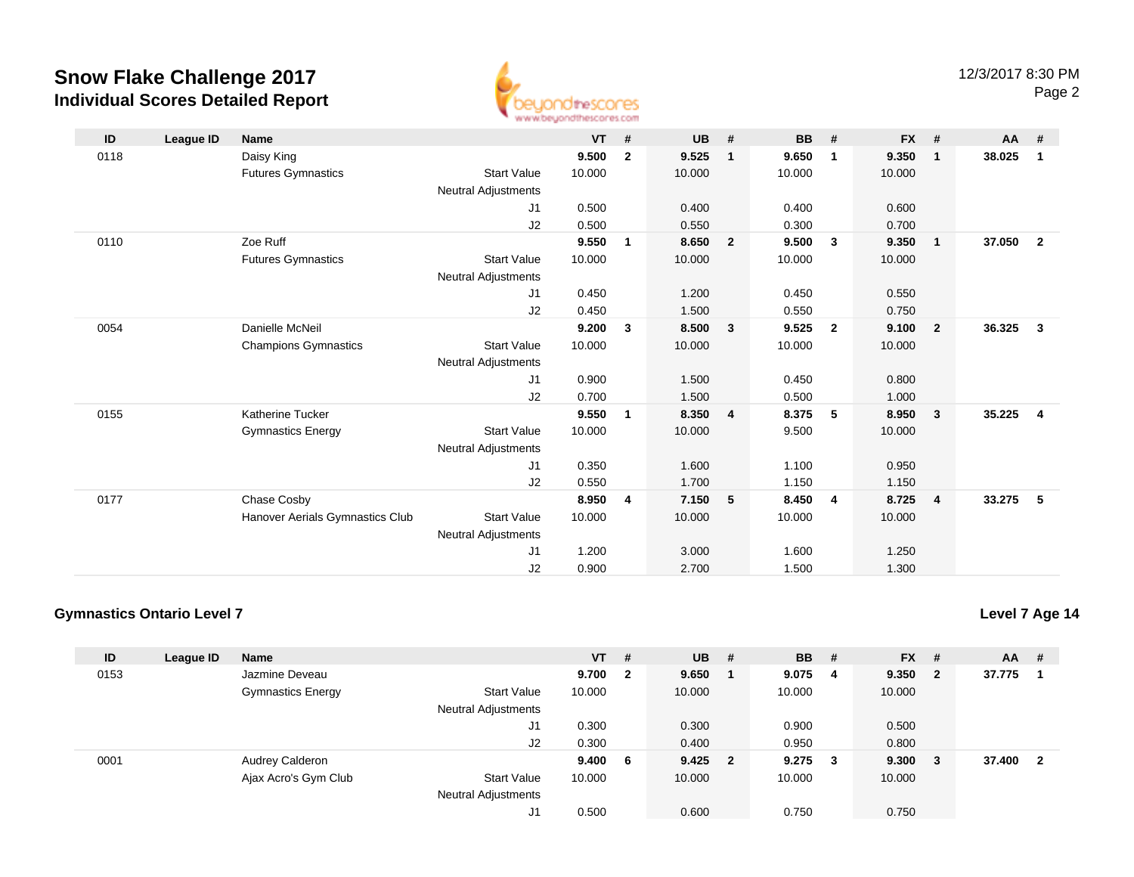

| ID   | League ID | <b>Name</b>                     |                            | <b>VT</b> | #            | <b>UB</b> | #              | <b>BB</b> | #              | <b>FX</b> | #                       | <b>AA</b> | #                       |
|------|-----------|---------------------------------|----------------------------|-----------|--------------|-----------|----------------|-----------|----------------|-----------|-------------------------|-----------|-------------------------|
| 0118 |           | Daisy King                      |                            | 9.500     | $\mathbf{2}$ | 9.525     | $\mathbf{1}$   | 9.650     | 1              | 9.350     | -1                      | 38.025    | $\overline{1}$          |
|      |           | <b>Futures Gymnastics</b>       | <b>Start Value</b>         | 10.000    |              | 10.000    |                | 10.000    |                | 10.000    |                         |           |                         |
|      |           |                                 | <b>Neutral Adjustments</b> |           |              |           |                |           |                |           |                         |           |                         |
|      |           |                                 | J1                         | 0.500     |              | 0.400     |                | 0.400     |                | 0.600     |                         |           |                         |
|      |           |                                 | J2                         | 0.500     |              | 0.550     |                | 0.300     |                | 0.700     |                         |           |                         |
| 0110 |           | Zoe Ruff                        |                            | 9.550     | 1            | 8.650     | $\overline{2}$ | 9.500     | 3              | 9.350     | $\overline{\mathbf{1}}$ | 37.050    | $\overline{2}$          |
|      |           | <b>Futures Gymnastics</b>       | <b>Start Value</b>         | 10.000    |              | 10.000    |                | 10.000    |                | 10.000    |                         |           |                         |
|      |           |                                 | <b>Neutral Adjustments</b> |           |              |           |                |           |                |           |                         |           |                         |
|      |           |                                 | J1                         | 0.450     |              | 1.200     |                | 0.450     |                | 0.550     |                         |           |                         |
|      |           |                                 | J2                         | 0.450     |              | 1.500     |                | 0.550     |                | 0.750     |                         |           |                         |
| 0054 |           | Danielle McNeil                 |                            | 9.200     | 3            | 8.500     | 3              | 9.525     | $\mathbf{2}$   | 9.100     | $\overline{\mathbf{2}}$ | 36.325    | $\overline{\mathbf{3}}$ |
|      |           | <b>Champions Gymnastics</b>     | <b>Start Value</b>         | 10.000    |              | 10.000    |                | 10.000    |                | 10.000    |                         |           |                         |
|      |           |                                 | <b>Neutral Adjustments</b> |           |              |           |                |           |                |           |                         |           |                         |
|      |           |                                 | J1                         | 0.900     |              | 1.500     |                | 0.450     |                | 0.800     |                         |           |                         |
|      |           |                                 | J2                         | 0.700     |              | 1.500     |                | 0.500     |                | 1.000     |                         |           |                         |
| 0155 |           | <b>Katherine Tucker</b>         |                            | 9.550     | 1            | 8.350     | $\overline{4}$ | 8.375     | 5              | 8.950     | $\overline{\mathbf{3}}$ | 35.225    | $\overline{\mathbf{4}}$ |
|      |           | <b>Gymnastics Energy</b>        | <b>Start Value</b>         | 10.000    |              | 10.000    |                | 9.500     |                | 10.000    |                         |           |                         |
|      |           |                                 | <b>Neutral Adjustments</b> |           |              |           |                |           |                |           |                         |           |                         |
|      |           |                                 | J1                         | 0.350     |              | 1.600     |                | 1.100     |                | 0.950     |                         |           |                         |
|      |           |                                 | J <sub>2</sub>             | 0.550     |              | 1.700     |                | 1.150     |                | 1.150     |                         |           |                         |
| 0177 |           | Chase Cosby                     |                            | 8.950     | 4            | 7.150     | 5              | 8.450     | $\overline{4}$ | 8.725     | $\overline{4}$          | 33.275    | - 5                     |
|      |           | Hanover Aerials Gymnastics Club | <b>Start Value</b>         | 10.000    |              | 10.000    |                | 10.000    |                | 10.000    |                         |           |                         |
|      |           |                                 | <b>Neutral Adjustments</b> |           |              |           |                |           |                |           |                         |           |                         |
|      |           |                                 | J1                         | 1.200     |              | 3.000     |                | 1.600     |                | 1.250     |                         |           |                         |
|      |           |                                 | J <sub>2</sub>             | 0.900     |              | 2.700     |                | 1.500     |                | 1.300     |                         |           |                         |

## **Gymnastics Ontario Level 7**

| ID   | League ID | <b>Name</b>              |                     | $VT$ # |                | <b>UB</b> | # | <b>BB</b> | #   | <b>FX</b> | #   | $AA$ # |    |
|------|-----------|--------------------------|---------------------|--------|----------------|-----------|---|-----------|-----|-----------|-----|--------|----|
| 0153 |           | Jazmine Deveau           |                     | 9.700  | $\overline{2}$ | 9.650     |   | 9.075     | -4  | 9.350     | - 2 | 37.775 |    |
|      |           | <b>Gymnastics Energy</b> | <b>Start Value</b>  | 10.000 |                | 10.000    |   | 10.000    |     | 10.000    |     |        |    |
|      |           |                          | Neutral Adjustments |        |                |           |   |           |     |           |     |        |    |
|      |           |                          | J1                  | 0.300  |                | 0.300     |   | 0.900     |     | 0.500     |     |        |    |
|      |           |                          | J2                  | 0.300  |                | 0.400     |   | 0.950     |     | 0.800     |     |        |    |
| 0001 |           | Audrey Calderon          |                     | 9.400  | - 6            | $9.425$ 2 |   | 9.275     | - 3 | 9.300     | - 3 | 37.400 | -2 |
|      |           | Ajax Acro's Gym Club     | <b>Start Value</b>  | 10.000 |                | 10.000    |   | 10.000    |     | 10.000    |     |        |    |
|      |           |                          | Neutral Adjustments |        |                |           |   |           |     |           |     |        |    |
|      |           |                          | J1                  | 0.500  |                | 0.600     |   | 0.750     |     | 0.750     |     |        |    |

#### **Level 7 Age 14**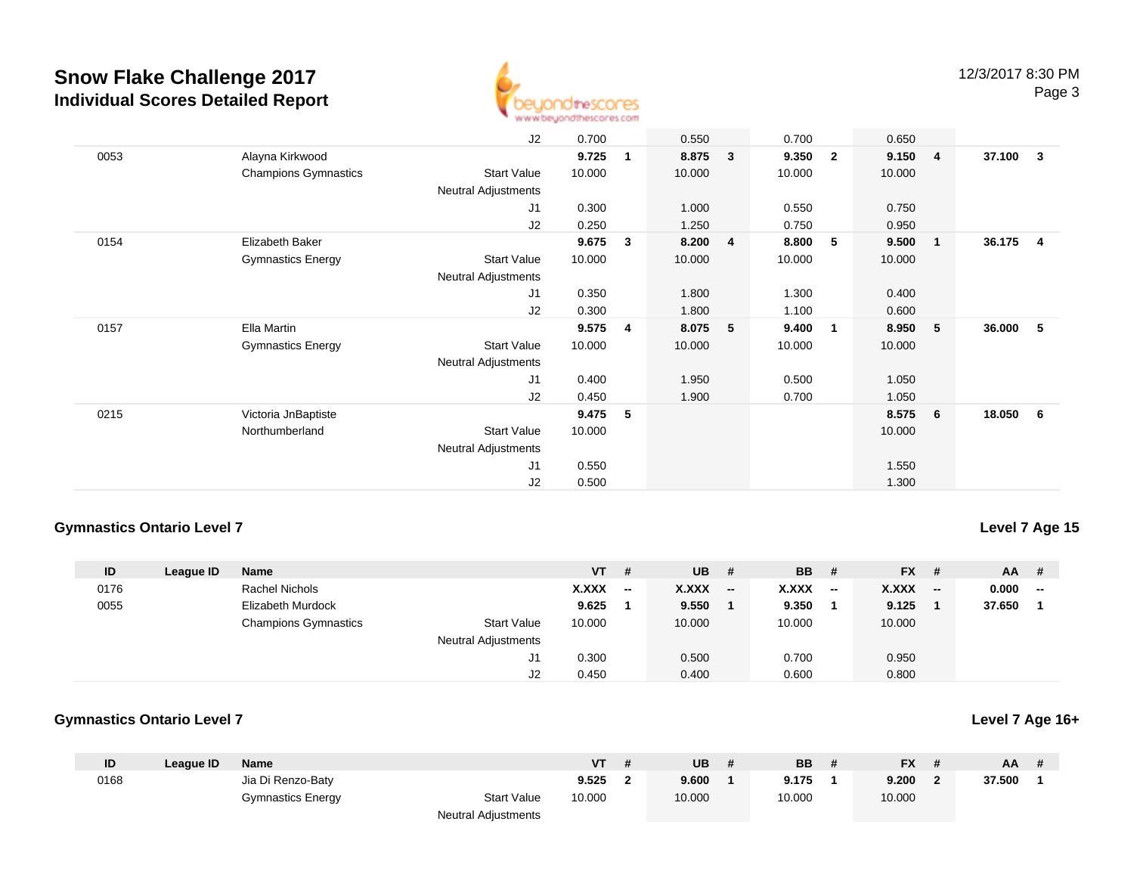

|      |                             | J2                         | 0.700  |              | 0.550  |              | 0.700  |                | 0.650  |                         |        |                         |
|------|-----------------------------|----------------------------|--------|--------------|--------|--------------|--------|----------------|--------|-------------------------|--------|-------------------------|
| 0053 | Alayna Kirkwood             |                            | 9.725  | $\mathbf{1}$ | 8.875  | $\mathbf{3}$ | 9.350  | $\overline{2}$ | 9.150  | $\overline{4}$          | 37.100 | $\overline{\mathbf{3}}$ |
|      | <b>Champions Gymnastics</b> | <b>Start Value</b>         | 10.000 |              | 10.000 |              | 10.000 |                | 10.000 |                         |        |                         |
|      |                             | Neutral Adjustments        |        |              |        |              |        |                |        |                         |        |                         |
|      |                             | J1                         | 0.300  |              | 1.000  |              | 0.550  |                | 0.750  |                         |        |                         |
|      |                             | J2                         | 0.250  |              | 1.250  |              | 0.750  |                | 0.950  |                         |        |                         |
| 0154 | Elizabeth Baker             |                            | 9.675  | 3            | 8.200  | 4            | 8.800  | 5              | 9.500  | $\overline{\mathbf{1}}$ | 36.175 | $\overline{\mathbf{4}}$ |
|      | <b>Gymnastics Energy</b>    | Start Value                | 10.000 |              | 10.000 |              | 10.000 |                | 10.000 |                         |        |                         |
|      |                             | Neutral Adjustments        |        |              |        |              |        |                |        |                         |        |                         |
|      |                             | J1                         | 0.350  |              | 1.800  |              | 1.300  |                | 0.400  |                         |        |                         |
|      |                             | J2                         | 0.300  |              | 1.800  |              | 1.100  |                | 0.600  |                         |        |                         |
| 0157 | Ella Martin                 |                            | 9.575  | 4            | 8.075  | 5            | 9.400  | $\overline{1}$ | 8.950  | - 5                     | 36.000 | -5                      |
|      | <b>Gymnastics Energy</b>    | <b>Start Value</b>         | 10.000 |              | 10.000 |              | 10.000 |                | 10.000 |                         |        |                         |
|      |                             | <b>Neutral Adjustments</b> |        |              |        |              |        |                |        |                         |        |                         |
|      |                             | J1                         | 0.400  |              | 1.950  |              | 0.500  |                | 1.050  |                         |        |                         |
|      |                             | J2                         | 0.450  |              | 1.900  |              | 0.700  |                | 1.050  |                         |        |                         |
| 0215 | Victoria JnBaptiste         |                            | 9.475  | 5            |        |              |        |                | 8.575  | 6                       | 18.050 | - 6                     |
|      | Northumberland              | Start Value                | 10.000 |              |        |              |        |                | 10.000 |                         |        |                         |
|      |                             | Neutral Adjustments        |        |              |        |              |        |                |        |                         |        |                         |
|      |                             | J <sub>1</sub>             | 0.550  |              |        |              |        |                | 1.550  |                         |        |                         |
|      |                             | J2                         | 0.500  |              |        |              |        |                | 1.300  |                         |        |                         |

### **Gymnastics Ontario Level 7**

## **Level 7 Age 15**

**Level 7 Age 16+**

| ID   | League ID | <b>Name</b>                 |                            | VT .   | #                        | <b>UB</b> | #                        | <b>BB</b>    | - #   | <b>FX</b>    | - #                      | AA     | #                        |
|------|-----------|-----------------------------|----------------------------|--------|--------------------------|-----------|--------------------------|--------------|-------|--------------|--------------------------|--------|--------------------------|
| 0176 |           | Rachel Nichols              |                            | X.XXX  | $\overline{\phantom{a}}$ | X.XXX     | $\overline{\phantom{a}}$ | <b>X.XXX</b> | $- -$ | <b>X.XXX</b> | $\overline{\phantom{a}}$ | 0.000  | $\overline{\phantom{a}}$ |
| 0055 |           | Elizabeth Murdock           |                            | 9.625  |                          | 9.550     |                          | 9.350        |       | 9.125        |                          | 37.650 |                          |
|      |           | <b>Champions Gymnastics</b> | <b>Start Value</b>         | 10.000 |                          | 10.000    |                          | 10.000       |       | 10.000       |                          |        |                          |
|      |           |                             | <b>Neutral Adjustments</b> |        |                          |           |                          |              |       |              |                          |        |                          |
|      |           |                             | J1                         | 0.300  |                          | 0.500     |                          | 0.700        |       | 0.950        |                          |        |                          |
|      |           |                             | J2                         | 0.450  |                          | 0.400     |                          | 0.600        |       | 0.800        |                          |        |                          |

#### **Gymnastics Ontario Level 7**

| ID   | League ID | <b>Name</b>              |                            | VT     | UB     | <b>BB</b> | <b>FX</b> | AA.    |  |
|------|-----------|--------------------------|----------------------------|--------|--------|-----------|-----------|--------|--|
| 0168 |           | Jia Di Renzo-Baty        |                            | 9.525  | 9.600  | 9.175     | 9.200     | 37.500 |  |
|      |           | <b>Gymnastics Energy</b> | <b>Start Value</b>         | 10.000 | 10.000 | 10.000    | 10.000    |        |  |
|      |           |                          | <b>Neutral Adjustments</b> |        |        |           |           |        |  |